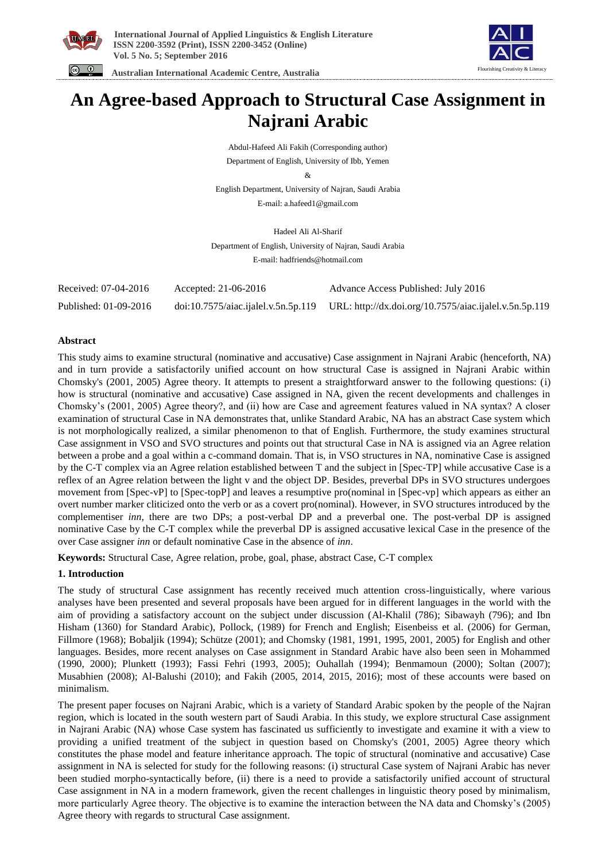





# **An Agree-based Approach to Structural Case Assignment in Najrani Arabic**

Abdul-Hafeed Ali Fakih (Corresponding author) Department of English, University of Ibb, Yemen

&

English Department, University of Najran, Saudi Arabia E-mail: a.hafeed1@gmail.com

Hadeel Ali Al-Sharif Department of English, University of Najran, Saudi Arabia E-mail: hadfriends@hotmail.com

| Received: 07-04-2016  | Accepted: 21-06-2016                | Advance Access Published: July 2016                    |
|-----------------------|-------------------------------------|--------------------------------------------------------|
| Published: 01-09-2016 | doi:10.7575/aiac.ijalel.v.5n.5p.119 | URL: http://dx.doi.org/10.7575/aiac.ijalel.v.5n.5p.119 |

# **Abstract**

This study aims to examine structural (nominative and accusative) Case assignment in Najrani Arabic (henceforth, NA) and in turn provide a satisfactorily unified account on how structural Case is assigned in Najrani Arabic within Chomsky's (2001, 2005) Agree theory. It attempts to present a straightforward answer to the following questions: (i) how is structural (nominative and accusative) Case assigned in NA, given the recent developments and challenges in Chomsky's (2001, 2005) Agree theory?, and (ii) how are Case and agreement features valued in NA syntax? A closer examination of structural Case in NA demonstrates that, unlike Standard Arabic, NA has an abstract Case system which is not morphologically realized, a similar phenomenon to that of English. Furthermore, the study examines structural Case assignment in VSO and SVO structures and points out that structural Case in NA is assigned via an Agree relation between a probe and a goal within a c-command domain. That is, in VSO structures in NA, nominative Case is assigned by the C-T complex via an Agree relation established between T and the subject in [Spec-TP] while accusative Case is a reflex of an Agree relation between the light v and the object DP. Besides, preverbal DPs in SVO structures undergoes movement from [Spec-vP] to [Spec-topP] and leaves a resumptive pro(nominal in [Spec-vp] which appears as either an overt number marker cliticized onto the verb or as a covert pro(nominal). However, in SVO structures introduced by the complementiser *inn*, there are two DPs; a post-verbal DP and a preverbal one. The post-verbal DP is assigned nominative Case by the C-T complex while the preverbal DP is assigned accusative lexical Case in the presence of the over Case assigner *inn* or default nominative Case in the absence of *inn*.

**Keywords:** Structural Case, Agree relation, probe, goal, phase, abstract Case, C-T complex

# **1. Introduction**

The study of structural Case assignment has recently received much attention cross-linguistically, where various analyses have been presented and several proposals have been argued for in different languages in the world with the aim of providing a satisfactory account on the subject under discussion (Al-Khalil (786); Sibawayh (796); and Ibn Hisham (1360) for Standard Arabic), Pollock, (1989) for French and English; Eisenbeiss et al. (2006) for German, Fillmore (1968); Bobaljik (1994); Schütze (2001); and Chomsky (1981, 1991, 1995, 2001, 2005) for English and other languages. Besides, more recent analyses on Case assignment in Standard Arabic have also been seen in Mohammed (1990, 2000); Plunkett (1993); Fassi Fehri (1993, 2005); Ouhallah (1994); Benmamoun (2000); Soltan (2007); Musabhien (2008); Al-Balushi (2010); and Fakih (2005, 2014, 2015, 2016); most of these accounts were based on minimalism.

The present paper focuses on Najrani Arabic, which is a variety of Standard Arabic spoken by the people of the Najran region, which is located in the south western part of Saudi Arabia. In this study, we explore structural Case assignment in Najrani Arabic (NA) whose Case system has fascinated us sufficiently to investigate and examine it with a view to providing a unified treatment of the subject in question based on Chomsky's (2001, 2005) Agree theory which constitutes the phase model and feature inheritance approach. The topic of structural (nominative and accusative) Case assignment in NA is selected for study for the following reasons: (i) structural Case system of Najrani Arabic has never been studied morpho-syntactically before, (ii) there is a need to provide a satisfactorily unified account of structural Case assignment in NA in a modern framework, given the recent challenges in linguistic theory posed by minimalism, more particularly Agree theory. The objective is to examine the interaction between the NA data and Chomsky's (2005) Agree theory with regards to structural Case assignment.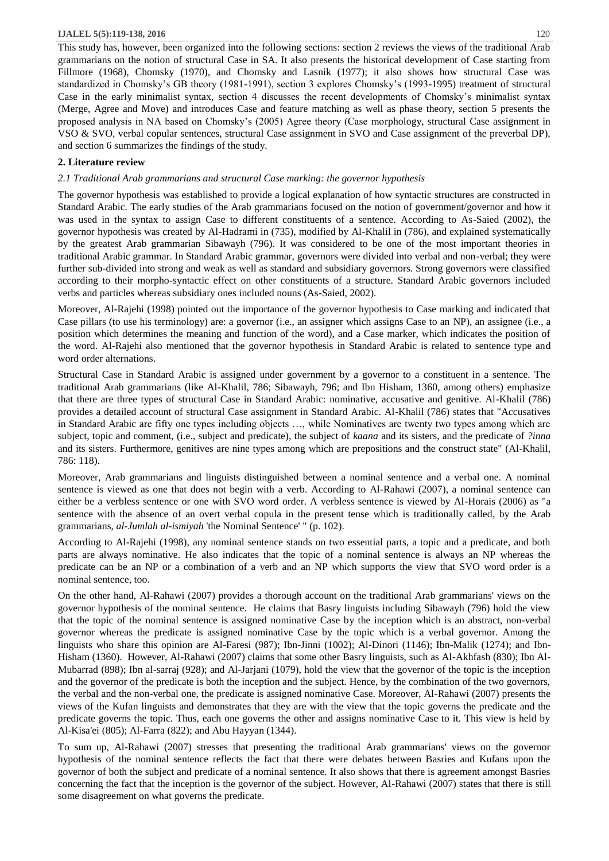This study has, however, been organized into the following sections: section 2 reviews the views of the traditional Arab grammarians on the notion of structural Case in SA. It also presents the historical development of Case starting from Fillmore (1968), Chomsky (1970), and Chomsky and Lasnik (1977); it also shows how structural Case was standardized in Chomsky's GB theory (1981-1991), section 3 explores Chomsky's (1993-1995) treatment of structural Case in the early minimalist syntax, section 4 discusses the recent developments of Chomsky's minimalist syntax (Merge, Agree and Move) and introduces Case and feature matching as well as phase theory, section 5 presents the proposed analysis in NA based on Chomsky's (2005) Agree theory (Case morphology, structural Case assignment in VSO & SVO, verbal copular sentences, structural Case assignment in SVO and Case assignment of the preverbal DP), and section 6 summarizes the findings of the study.

# **2. Literature review**

*2.1 Traditional Arab grammarians and structural Case marking: the governor hypothesis*

The governor hypothesis was established to provide a logical explanation of how syntactic structures are constructed in Standard Arabic. The early studies of the Arab grammarians focused on the notion of government/governor and how it was used in the syntax to assign Case to different constituents of a sentence. According to As-Saied (2002), the governor hypothesis was created by Al-Hadrami in (735), modified by Al-Khalil in (786), and explained systematically by the greatest Arab grammarian Sibawayh (796). It was considered to be one of the most important theories in traditional Arabic grammar. In Standard Arabic grammar, governors were divided into verbal and non-verbal; they were further sub-divided into strong and weak as well as standard and subsidiary governors. Strong governors were classified according to their morpho-syntactic effect on other constituents of a structure. Standard Arabic governors included verbs and particles whereas subsidiary ones included nouns (As-Saied, 2002).

Moreover, Al-Rajehi (1998) pointed out the importance of the governor hypothesis to Case marking and indicated that Case pillars (to use his terminology) are: a governor (i.e., an assigner which assigns Case to an NP), an assignee (i.e., a position which determines the meaning and function of the word), and a Case marker, which indicates the position of the word. Al-Rajehi also mentioned that the governor hypothesis in Standard Arabic is related to sentence type and word order alternations.

Structural Case in Standard Arabic is assigned under government by a governor to a constituent in a sentence. The traditional Arab grammarians (like Al-Khalil, 786; Sibawayh, 796; and Ibn Hisham, 1360, among others) emphasize that there are three types of structural Case in Standard Arabic: nominative, accusative and genitive. Al-Khalil (786) provides a detailed account of structural Case assignment in Standard Arabic. Al-Khalil (786) states that "Accusatives in Standard Arabic are fifty one types including objects …, while Nominatives are twenty two types among which are subject, topic and comment, (i.e., subject and predicate), the subject of *kaana* and its sisters, and the predicate of *?inna* and its sisters. Furthermore, genitives are nine types among which are prepositions and the construct state" (Al-Khalil, 786: 118).

Moreover, Arab grammarians and linguists distinguished between a nominal sentence and a verbal one. A nominal sentence is viewed as one that does not begin with a verb. According to Al-Rahawi (2007), a nominal sentence can either be a verbless sentence or one with SVO word order. A verbless sentence is viewed by Al-Horais (2006) as "a sentence with the absence of an overt verbal copula in the present tense which is traditionally called, by the Arab grammarians, *al-Jumlah al-ismiyah* 'the Nominal Sentence' " (p. 102).

According to Al-Rajehi (1998), any nominal sentence stands on two essential parts, a topic and a predicate, and both parts are always nominative. He also indicates that the topic of a nominal sentence is always an NP whereas the predicate can be an NP or a combination of a verb and an NP which supports the view that SVO word order is a nominal sentence, too.

On the other hand, Al-Rahawi (2007) provides a thorough account on the traditional Arab grammarians' views on the governor hypothesis of the nominal sentence. He claims that Basry linguists including Sibawayh (796) hold the view that the topic of the nominal sentence is assigned nominative Case by the inception which is an abstract, non-verbal governor whereas the predicate is assigned nominative Case by the topic which is a verbal governor. Among the linguists who share this opinion are Al-Faresi (987); Ibn-Jinni (1002); Al-Dinori (1146); Ibn-Malik (1274); and Ibn-Hisham (1360). However, Al-Rahawi (2007) claims that some other Basry linguists, such as Al-Akhfash (830); Ibn Al-Mubarrad (898); Ibn al-sarraj (928); and Al-Jarjani (1079), hold the view that the governor of the topic is the inception and the governor of the predicate is both the inception and the subject. Hence, by the combination of the two governors, the verbal and the non-verbal one, the predicate is assigned nominative Case. Moreover, Al-Rahawi (2007) presents the views of the Kufan linguists and demonstrates that they are with the view that the topic governs the predicate and the predicate governs the topic. Thus, each one governs the other and assigns nominative Case to it. This view is held by Al-Kisa'ei (805); Al-Farra (822); and Abu Hayyan (1344).

To sum up, Al-Rahawi (2007) stresses that presenting the traditional Arab grammarians' views on the governor hypothesis of the nominal sentence reflects the fact that there were debates between Basries and Kufans upon the governor of both the subject and predicate of a nominal sentence. It also shows that there is agreement amongst Basries concerning the fact that the inception is the governor of the subject. However, Al-Rahawi (2007) states that there is still some disagreement on what governs the predicate.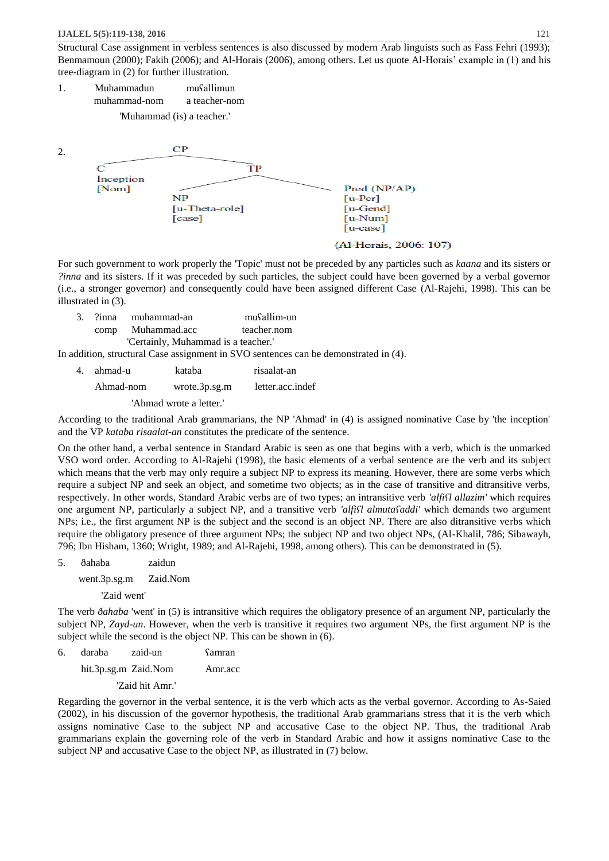Structural Case assignment in verbless sentences is also discussed by modern Arab linguists such as Fass Fehri (1993); Benmamoun (2000); Fakih (2006); and Al-Horais (2006), among others. Let us quote Al-Horais' example in (1) and his tree-diagram in (2) for further illustration.

1. Muhammadun muʕallimun muhammad-nom a teacher-nom

'Muhammad (is) a teacher.'



(Al-Horais, 2006: 107)

For such government to work properly the 'Topic' must not be preceded by any particles such as *kaana* and its sisters or *?inna* and its sisters. If it was preceded by such particles, the subject could have been governed by a verbal governor (i.e., a stronger governor) and consequently could have been assigned different Case (Al-Rajehi, 1998). This can be illustrated in (3).

|  | la ?inna muhammad-an?               | musallim-un |  |
|--|-------------------------------------|-------------|--|
|  | comp Muhammad.acc                   | teacher.nom |  |
|  | 'Certainly, Muhammad is a teacher.' |             |  |

In addition, structural Case assignment in SVO sentences can be demonstrated in (4).

4. ahmad-u kataba risaalat-an Ahmad-nom wrote.3p.sg.m letter.acc.indef

'Ahmad wrote a letter.'

According to the traditional Arab grammarians, the NP 'Ahmad' in (4) is assigned nominative Case by 'the inception' and the VP *kataba risaalat-an* constitutes the predicate of the sentence.

On the other hand, a verbal sentence in Standard Arabic is seen as one that begins with a verb, which is the unmarked VSO word order. According to Al-Rajehi (1998), the basic elements of a verbal sentence are the verb and its subject which means that the verb may only require a subject NP to express its meaning. However, there are some verbs which require a subject NP and seek an object, and sometime two objects; as in the case of transitive and ditransitive verbs, respectively. In other words, Standard Arabic verbs are of two types; an intransitive verb *'alfiʕl allazim'* which requires one argument NP, particularly a subject NP, and a transitive verb *'alfiʕl almutaʕaddi'* which demands two argument NPs; i.e., the first argument NP is the subject and the second is an object NP. There are also ditransitive verbs which require the obligatory presence of three argument NPs; the subject NP and two object NPs, (Al-Khalil, 786; Sibawayh, 796; Ibn Hisham, 1360; Wright, 1989; and Al-Rajehi, 1998, among others). This can be demonstrated in (5).

5. ðahaba zaidun

went.3p.sg.m Zaid.Nom

'Zaid went'

The verb *ðahaba* 'went' in (5) is intransitive which requires the obligatory presence of an argument NP, particularly the subject NP, *Zayd-un*. However, when the verb is transitive it requires two argument NPs, the first argument NP is the subject while the second is the object NP. This can be shown in (6).

6. daraba zaid-un ʕamran hit.3p.sg.m Zaid.Nom Amr.acc 'Zaid hit Amr.'

Regarding the governor in the verbal sentence, it is the verb which acts as the verbal governor. According to As-Saied (2002), in his discussion of the governor hypothesis, the traditional Arab grammarians stress that it is the verb which assigns nominative Case to the subject NP and accusative Case to the object NP. Thus, the traditional Arab grammarians explain the governing role of the verb in Standard Arabic and how it assigns nominative Case to the subject NP and accusative Case to the object NP, as illustrated in (7) below.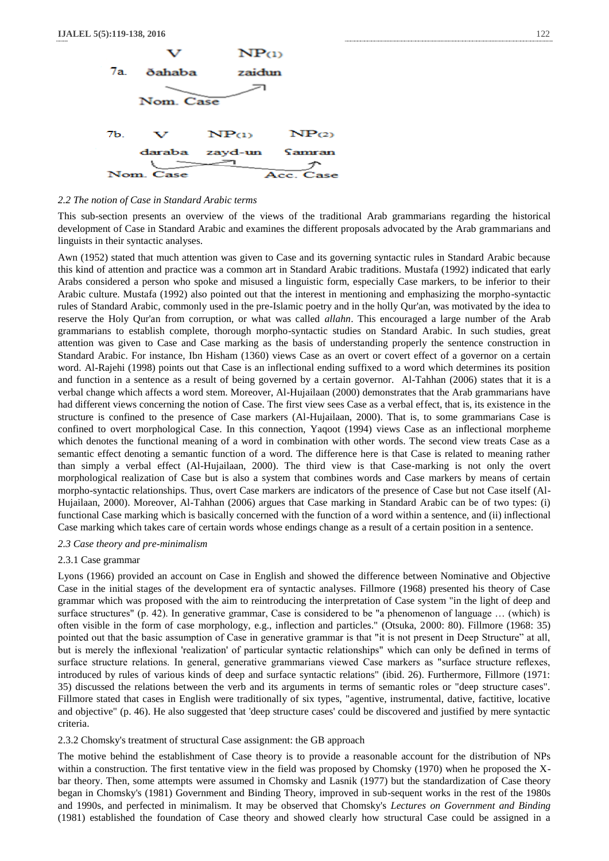

#### *2.2 The notion of Case in Standard Arabic terms*

This sub-section presents an overview of the views of the traditional Arab grammarians regarding the historical development of Case in Standard Arabic and examines the different proposals advocated by the Arab grammarians and linguists in their syntactic analyses.

Awn (1952) stated that much attention was given to Case and its governing syntactic rules in Standard Arabic because this kind of attention and practice was a common art in Standard Arabic traditions. Mustafa (1992) indicated that early Arabs considered a person who spoke and misused a linguistic form, especially Case markers, to be inferior to their Arabic culture. Mustafa (1992) also pointed out that the interest in mentioning and emphasizing the morpho-syntactic rules of Standard Arabic, commonly used in the pre-Islamic poetry and in the holly Qur'an, was motivated by the idea to reserve the Holy Qur'an from corruption, or what was called *allahn*. This encouraged a large number of the Arab grammarians to establish complete, thorough morpho-syntactic studies on Standard Arabic. In such studies, great attention was given to Case and Case marking as the basis of understanding properly the sentence construction in Standard Arabic. For instance, Ibn Hisham (1360) views Case as an overt or covert effect of a governor on a certain word. Al-Rajehi (1998) points out that Case is an inflectional ending suffixed to a word which determines its position and function in a sentence as a result of being governed by a certain governor. Al-Tahhan (2006) states that it is a verbal change which affects a word stem. Moreover, Al-Hujailaan (2000) demonstrates that the Arab grammarians have had different views concerning the notion of Case. The first view sees Case as a verbal effect, that is, its existence in the structure is confined to the presence of Case markers (Al-Hujailaan, 2000). That is, to some grammarians Case is confined to overt morphological Case. In this connection, Yaqoot (1994) views Case as an inflectional morpheme which denotes the functional meaning of a word in combination with other words. The second view treats Case as a semantic effect denoting a semantic function of a word. The difference here is that Case is related to meaning rather than simply a verbal effect (Al-Hujailaan, 2000). The third view is that Case-marking is not only the overt morphological realization of Case but is also a system that combines words and Case markers by means of certain morpho-syntactic relationships. Thus, overt Case markers are indicators of the presence of Case but not Case itself (Al-Hujailaan, 2000). Moreover, Al-Tahhan (2006) argues that Case marking in Standard Arabic can be of two types: (i) functional Case marking which is basically concerned with the function of a word within a sentence, and (ii) inflectional Case marking which takes care of certain words whose endings change as a result of a certain position in a sentence.

#### *2.3 Case theory and pre-minimalism*

# 2.3.1 Case grammar

Lyons (1966) provided an account on Case in English and showed the difference between Nominative and Objective Case in the initial stages of the development era of syntactic analyses. Fillmore (1968) presented his theory of Case grammar which was proposed with the aim to reintroducing the interpretation of Case system "in the light of deep and surface structures" (p. 42). In generative grammar, Case is considered to be "a phenomenon of language … (which) is often visible in the form of case morphology, e.g., inflection and particles." (Otsuka, 2000: 80). Fillmore (1968: 35) pointed out that the basic assumption of Case in generative grammar is that "it is not present in Deep Structure" at all, but is merely the inflexional 'realization' of particular syntactic relationships" which can only be defined in terms of surface structure relations. In general, generative grammarians viewed Case markers as "surface structure reflexes, introduced by rules of various kinds of deep and surface syntactic relations" (ibid. 26). Furthermore, Fillmore (1971: 35) discussed the relations between the verb and its arguments in terms of semantic roles or "deep structure cases". Fillmore stated that cases in English were traditionally of six types, "agentive, instrumental, dative, factitive, locative and objective" (p. 46). He also suggested that 'deep structure cases' could be discovered and justified by mere syntactic criteria.

### 2.3.2 Chomsky's treatment of structural Case assignment: the GB approach

The motive behind the establishment of Case theory is to provide a reasonable account for the distribution of NPs within a construction. The first tentative view in the field was proposed by Chomsky (1970) when he proposed the Xbar theory. Then, some attempts were assumed in Chomsky and Lasnik (1977) but the standardization of Case theory began in Chomsky's (1981) Government and Binding Theory, improved in sub-sequent works in the rest of the 1980s and 1990s, and perfected in minimalism. It may be observed that Chomsky's *Lectures on Government and Binding* (1981) established the foundation of Case theory and showed clearly how structural Case could be assigned in a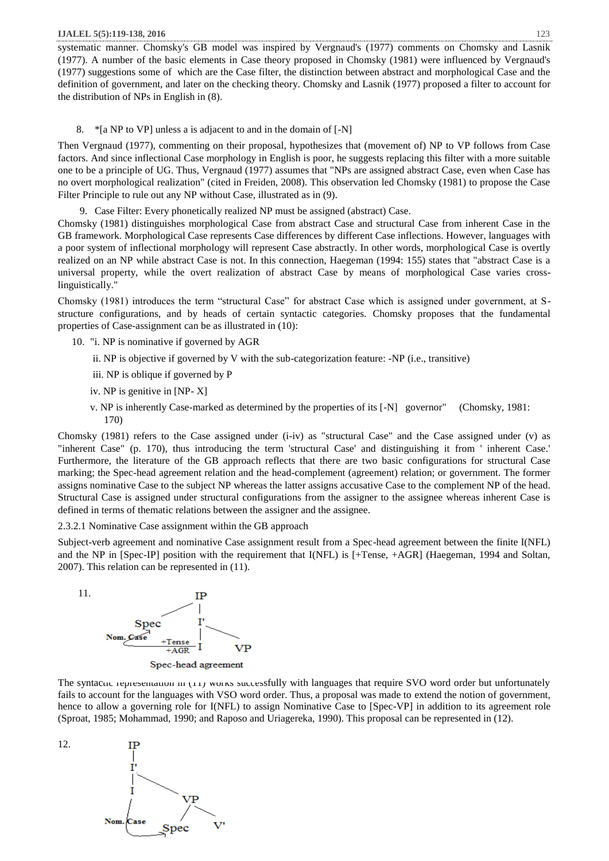systematic manner. Chomsky's GB model was inspired by Vergnaud's (1977) comments on Chomsky and Lasnik (1977). A number of the basic elements in Case theory proposed in Chomsky (1981) were influenced by Vergnaud's (1977) suggestions some of which are the Case filter, the distinction between abstract and morphological Case and the definition of government, and later on the checking theory. Chomsky and Lasnik (1977) proposed a filter to account for the distribution of NPs in English in (8).

# 8. \*[a NP to VP] unless a is adjacent to and in the domain of [-N]

Then Vergnaud (1977), commenting on their proposal, hypothesizes that (movement of) NP to VP follows from Case factors. And since inflectional Case morphology in English is poor, he suggests replacing this filter with a more suitable one to be a principle of UG. Thus, Vergnaud (1977) assumes that "NPs are assigned abstract Case, even when Case has no overt morphological realization" (cited in Freiden, 2008). This observation led Chomsky (1981) to propose the Case Filter Principle to rule out any NP without Case, illustrated as in (9).

9. Case Filter: Every phonetically realized NP must be assigned (abstract) Case.

Chomsky (1981) distinguishes morphological Case from abstract Case and structural Case from inherent Case in the GB framework. Morphological Case represents Case differences by different Case inflections. However, languages with a poor system of inflectional morphology will represent Case abstractly. In other words, morphological Case is overtly realized on an NP while abstract Case is not. In this connection, Haegeman (1994: 155) states that "abstract Case is a universal property, while the overt realization of abstract Case by means of morphological Case varies crosslinguistically."

Chomsky (1981) introduces the term "structural Case" for abstract Case which is assigned under government, at Sstructure configurations, and by heads of certain syntactic categories. Chomsky proposes that the fundamental properties of Case-assignment can be as illustrated in (10):

- 10. "i. NP is nominative if governed by AGR
	- ii. NP is objective if governed by V with the sub-categorization feature: -NP (i.e., transitive)
	- iii. NP is oblique if governed by P
	- iv. NP is genitive in [NP- X]
	- v. NP is inherently Case-marked as determined by the properties of its [-N] governor" (Chomsky, 1981: 170)

Chomsky (1981) refers to the Case assigned under (i-iv) as "structural Case" and the Case assigned under (v) as "inherent Case" (p. 170), thus introducing the term 'structural Case' and distinguishing it from ' inherent Case.' Furthermore, the literature of the GB approach reflects that there are two basic configurations for structural Case marking; the Spec-head agreement relation and the head-complement (agreement) relation; or government. The former assigns nominative Case to the subject NP whereas the latter assigns accusative Case to the complement NP of the head. Structural Case is assigned under structural configurations from the assigner to the assignee whereas inherent Case is defined in terms of thematic relations between the assigner and the assignee.

2.3.2.1 Nominative Case assignment within the GB approach

Subject-verb agreement and nominative Case assignment result from a Spec-head agreement between the finite I(NFL) and the NP in [Spec-IP] position with the requirement that I(NFL) is [+Tense, +AGR] (Haegeman, 1994 and Soltan, 2007). This relation can be represented in (11).



The syntacuc representation in (11) works successfully with languages that require SVO word order but unfortunately fails to account for the languages with VSO word order. Thus, a proposal was made to extend the notion of government, hence to allow a governing role for I(NFL) to assign Nominative Case to [Spec-VP] in addition to its agreement role (Sproat, 1985; Mohammad, 1990; and Raposo and Uriagereka, 1990). This proposal can be represented in (12).

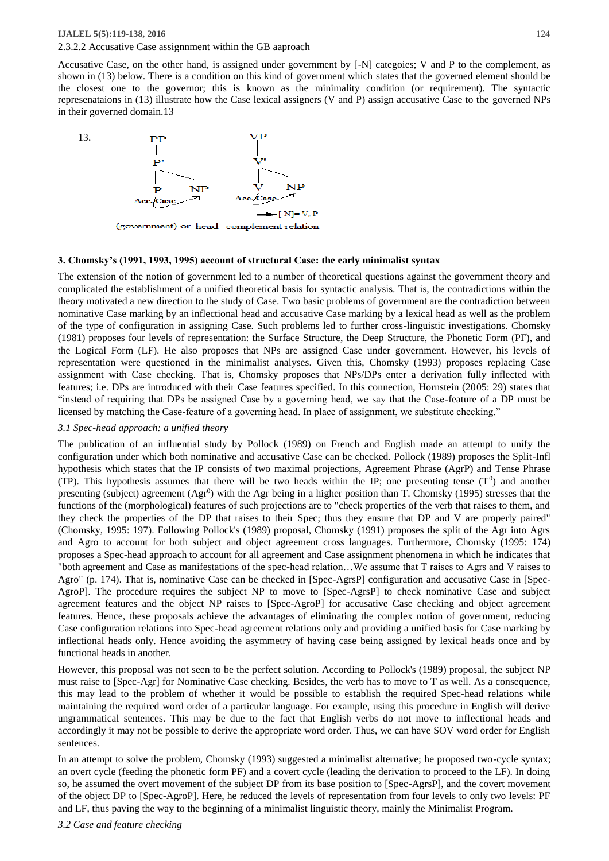## 2.3.2.2 Accusative Case assignnment within the GB aaproach

Accusative Case, on the other hand, is assigned under government by [-N] categoies; V and P to the complement, as shown in (13) below. There is a condition on this kind of government which states that the governed element should be the closest one to the governor; this is known as the minimality condition (or requirement). The syntactic represenataions in (13) illustrate how the Case lexical assigners (V and P) assign accusative Case to the governed NPs in their governed domain.13



(government) or head- complement relation

#### **3. Chomsky's (1991, 1993, 1995) account of structural Case: the early minimalist syntax**

The extension of the notion of government led to a number of theoretical questions against the government theory and complicated the establishment of a unified theoretical basis for syntactic analysis. That is, the contradictions within the theory motivated a new direction to the study of Case. Two basic problems of government are the contradiction between nominative Case marking by an inflectional head and accusative Case marking by a lexical head as well as the problem of the type of configuration in assigning Case. Such problems led to further cross-linguistic investigations. Chomsky (1981) proposes four levels of representation: the Surface Structure, the Deep Structure, the Phonetic Form (PF), and the Logical Form (LF). He also proposes that NPs are assigned Case under government. However, his levels of representation were questioned in the minimalist analyses. Given this, Chomsky (1993) proposes replacing Case assignment with Case checking. That is, Chomsky proposes that NPs/DPs enter a derivation fully inflected with features; i.e. DPs are introduced with their Case features specified. In this connection, Hornstein (2005: 29) states that "instead of requiring that DPs be assigned Case by a governing head, we say that the Case-feature of a DP must be licensed by matching the Case-feature of a governing head. In place of assignment, we substitute checking."

## *3.1 Spec-head approach: a unified theory*

The publication of an influential study by Pollock (1989) on French and English made an attempt to unify the configuration under which both nominative and accusative Case can be checked. Pollock (1989) proposes the Split-Infl hypothesis which states that the IP consists of two maximal projections, Agreement Phrase (AgrP) and Tense Phrase (TP). This hypothesis assumes that there will be two heads within the IP; one presenting tense  $(T^0)$  and another presenting (subject) agreement (Agr<sup>0</sup>) with the Agr being in a higher position than T. Chomsky (1995) stresses that the functions of the (morphological) features of such projections are to "check properties of the verb that raises to them, and they check the properties of the DP that raises to their Spec; thus they ensure that DP and V are properly paired" (Chomsky, 1995: 197). Following Pollock's (1989) proposal, Chomsky (1991) proposes the split of the Agr into Agrs and Agro to account for both subject and object agreement cross languages. Furthermore, Chomsky (1995: 174) proposes a Spec-head approach to account for all agreement and Case assignment phenomena in which he indicates that "both agreement and Case as manifestations of the spec-head relation…We assume that T raises to Agrs and V raises to Agro" (p. 174). That is, nominative Case can be checked in [Spec-AgrsP] configuration and accusative Case in [Spec-AgroP]. The procedure requires the subject NP to move to [Spec-AgrsP] to check nominative Case and subject agreement features and the object NP raises to [Spec-AgroP] for accusative Case checking and object agreement features. Hence, these proposals achieve the advantages of eliminating the complex notion of government, reducing Case configuration relations into Spec-head agreement relations only and providing a unified basis for Case marking by inflectional heads only. Hence avoiding the asymmetry of having case being assigned by lexical heads once and by functional heads in another.

However, this proposal was not seen to be the perfect solution. According to Pollock's (1989) proposal, the subject NP must raise to [Spec-Agr] for Nominative Case checking. Besides, the verb has to move to T as well. As a consequence, this may lead to the problem of whether it would be possible to establish the required Spec-head relations while maintaining the required word order of a particular language. For example, using this procedure in English will derive ungrammatical sentences. This may be due to the fact that English verbs do not move to inflectional heads and accordingly it may not be possible to derive the appropriate word order. Thus, we can have SOV word order for English sentences.

In an attempt to solve the problem, Chomsky (1993) suggested a minimalist alternative; he proposed two-cycle syntax; an overt cycle (feeding the phonetic form PF) and a covert cycle (leading the derivation to proceed to the LF). In doing so, he assumed the overt movement of the subject DP from its base position to [Spec-AgrsP], and the covert movement of the object DP to [Spec-AgroP]. Here, he reduced the levels of representation from four levels to only two levels: PF and LF, thus paving the way to the beginning of a minimalist linguistic theory, mainly the Minimalist Program.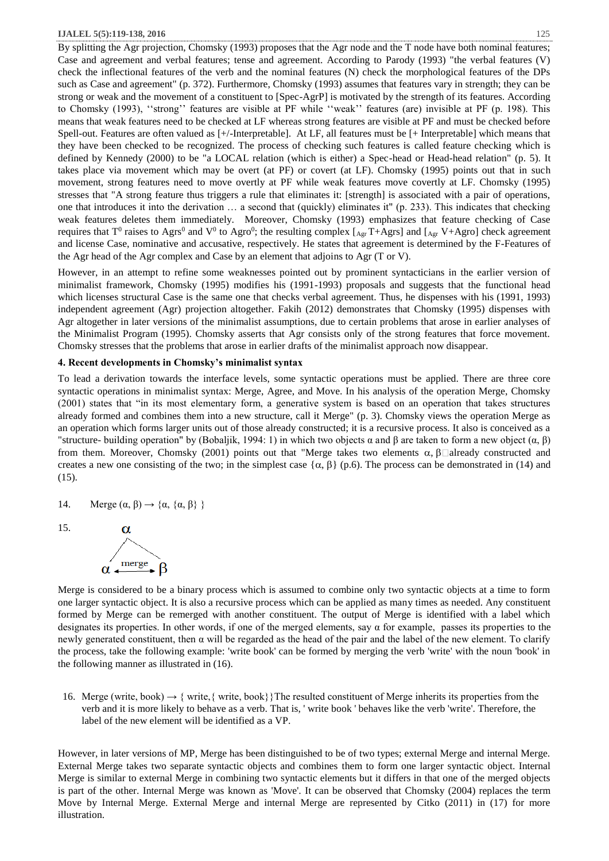By splitting the Agr projection, Chomsky (1993) proposes that the Agr node and the T node have both nominal features; Case and agreement and verbal features; tense and agreement. According to Parody (1993) "the verbal features (V) check the inflectional features of the verb and the nominal features (N) check the morphological features of the DPs such as Case and agreement" (p. 372). Furthermore, Chomsky (1993) assumes that features vary in strength; they can be strong or weak and the movement of a constituent to [Spec-AgrP] is motivated by the strength of its features. According to Chomsky (1993), ''strong'' features are visible at PF while ''weak'' features (are) invisible at PF (p. 198). This means that weak features need to be checked at LF whereas strong features are visible at PF and must be checked before Spell-out. Features are often valued as [+/-Interpretable]. At LF, all features must be [+ Interpretable] which means that they have been checked to be recognized. The process of checking such features is called feature checking which is defined by Kennedy (2000) to be "a LOCAL relation (which is either) a Spec-head or Head-head relation" (p. 5). It takes place via movement which may be overt (at PF) or covert (at LF). Chomsky (1995) points out that in such movement, strong features need to move overtly at PF while weak features move covertly at LF. Chomsky (1995) stresses that "A strong feature thus triggers a rule that eliminates it: [strength] is associated with a pair of operations, one that introduces it into the derivation … a second that (quickly) eliminates it" (p. 233). This indicates that checking weak features deletes them immediately. Moreover, Chomsky (1993) emphasizes that feature checking of Case requires that T<sup>0</sup> raises to Agrs<sup>0</sup> and V<sup>0</sup> to Agro<sup>0</sup>; the resulting complex [<sub>Agr</sub> T+Agrs] and [<sub>Agr</sub> V+Agro] check agreement and license Case, nominative and accusative, respectively. He states that agreement is determined by the F-Features of the Agr head of the Agr complex and Case by an element that adjoins to Agr (T or V).

However, in an attempt to refine some weaknesses pointed out by prominent syntacticians in the earlier version of minimalist framework, Chomsky (1995) modifies his (1991-1993) proposals and suggests that the functional head which licenses structural Case is the same one that checks verbal agreement. Thus, he dispenses with his (1991, 1993) independent agreement (Agr) projection altogether. Fakih (2012) demonstrates that Chomsky (1995) dispenses with Agr altogether in later versions of the minimalist assumptions, due to certain problems that arose in earlier analyses of the Minimalist Program (1995). Chomsky asserts that Agr consists only of the strong features that force movement. Chomsky stresses that the problems that arose in earlier drafts of the minimalist approach now disappear.

# **4. Recent developments in Chomsky's minimalist syntax**

To lead a derivation towards the interface levels, some syntactic operations must be applied. There are three core syntactic operations in minimalist syntax: Merge, Agree, and Move. In his analysis of the operation Merge, Chomsky (2001) states that "in its most elementary form, a generative system is based on an operation that takes structures already formed and combines them into a new structure, call it Merge" (p. 3). Chomsky views the operation Merge as an operation which forms larger units out of those already constructed; it is a recursive process. It also is conceived as a "structure- building operation" by (Bobaljik, 1994: 1) in which two objects α and β are taken to form a new object (α, β) from them. Moreover, Chomsky (2001) points out that "Merge takes two elements  $\alpha$ ,  $\beta\Box$ already constructed and creates a new one consisting of the two; in the simplest case  $\{\alpha, \beta\}$  (p.6). The process can be demonstrated in (14) and (15).

14. Merge  $(\alpha, \beta) \rightarrow {\alpha, {\alpha, \beta}}$ 





Merge is considered to be a binary process which is assumed to combine only two syntactic objects at a time to form one larger syntactic object. It is also a recursive process which can be applied as many times as needed. Any constituent formed by Merge can be remerged with another constituent. The output of Merge is identified with a label which designates its properties. In other words, if one of the merged elements, say  $\alpha$  for example, passes its properties to the newly generated constituent, then  $\alpha$  will be regarded as the head of the pair and the label of the new element. To clarify the process, take the following example: 'write book' can be formed by merging the verb 'write' with the noun 'book' in the following manner as illustrated in (16).

16. Merge (write, book)  $\rightarrow$  { write, { write, book}}The resulted constituent of Merge inherits its properties from the verb and it is more likely to behave as a verb. That is, ' write book ' behaves like the verb 'write'. Therefore, the label of the new element will be identified as a VP.

However, in later versions of MP, Merge has been distinguished to be of two types; external Merge and internal Merge. External Merge takes two separate syntactic objects and combines them to form one larger syntactic object. Internal Merge is similar to external Merge in combining two syntactic elements but it differs in that one of the merged objects is part of the other. Internal Merge was known as 'Move'. It can be observed that Chomsky (2004) replaces the term Move by Internal Merge. External Merge and internal Merge are represented by Citko (2011) in (17) for more illustration.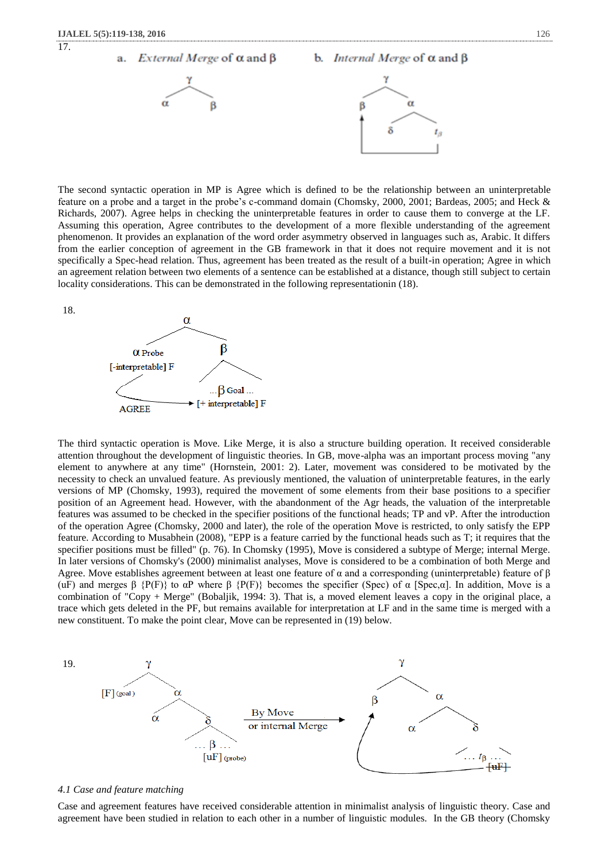17.



The second syntactic operation in MP is Agree which is defined to be the relationship between an uninterpretable feature on a probe and a target in the probe's c-command domain (Chomsky, 2000, 2001; Bardeas, 2005; and Heck & Richards, 2007). Agree helps in checking the uninterpretable features in order to cause them to converge at the LF. Assuming this operation, Agree contributes to the development of a more flexible understanding of the agreement phenomenon. It provides an explanation of the word order asymmetry observed in languages such as, Arabic. It differs from the earlier conception of agreement in the GB framework in that it does not require movement and it is not specifically a Spec-head relation. Thus, agreement has been treated as the result of a built-in operation; Agree in which an agreement relation between two elements of a sentence can be established at a distance, though still subject to certain locality considerations. This can be demonstrated in the following representationin (18).

18.



The third syntactic operation is Move. Like Merge, it is also a structure building operation. It received considerable attention throughout the development of linguistic theories. In GB, move-alpha was an important process moving "any element to anywhere at any time" (Hornstein, 2001: 2). Later, movement was considered to be motivated by the necessity to check an unvalued feature. As previously mentioned, the valuation of uninterpretable features, in the early versions of MP (Chomsky, 1993), required the movement of some elements from their base positions to a specifier position of an Agreement head. However, with the abandonment of the Agr heads, the valuation of the interpretable features was assumed to be checked in the specifier positions of the functional heads; TP and vP. After the introduction of the operation Agree (Chomsky, 2000 and later), the role of the operation Move is restricted, to only satisfy the EPP feature. According to Musabhein (2008), "EPP is a feature carried by the functional heads such as T; it requires that the specifier positions must be filled" (p. 76). In Chomsky (1995), Move is considered a subtype of Merge; internal Merge. In later versions of Chomsky's (2000) minimalist analyses, Move is considered to be a combination of both Merge and Agree. Move establishes agreement between at least one feature of  $\alpha$  and a corresponding (uninterpretable) feature of β (uF) and merges  $\beta$  {P(F)} to  $\alpha P$  where  $\beta$  {P(F)} becomes the specifier (Spec) of  $\alpha$  [Spec, $\alpha$ ]. In addition, Move is a combination of "Copy + Merge" (Bobaljik, 1994: 3). That is, a moved element leaves a copy in the original place, a trace which gets deleted in the PF, but remains available for interpretation at LF and in the same time is merged with a new constituent. To make the point clear, Move can be represented in (19) below.



## *4.1 Case and feature matching*

Case and agreement features have received considerable attention in minimalist analysis of linguistic theory. Case and agreement have been studied in relation to each other in a number of linguistic modules. In the GB theory (Chomsky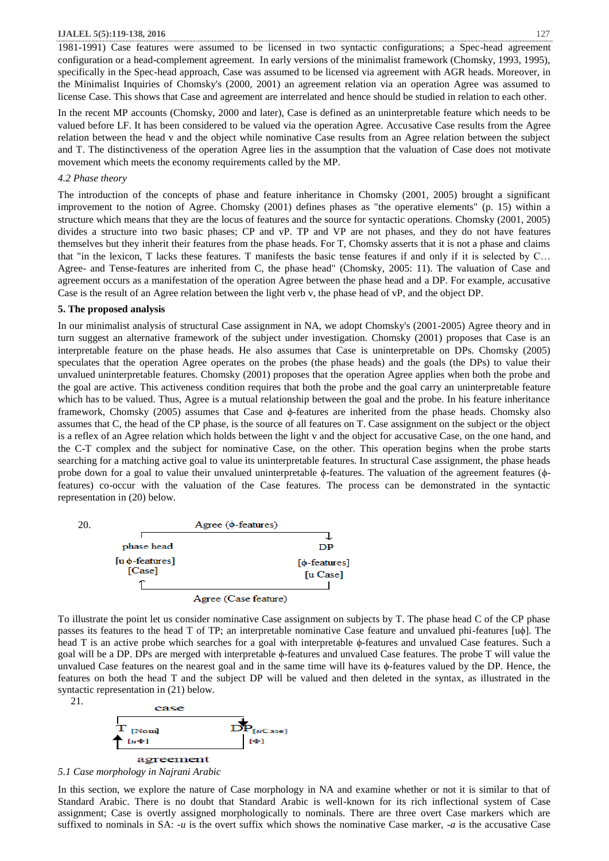1981-1991) Case features were assumed to be licensed in two syntactic configurations; a Spec-head agreement configuration or a head-complement agreement. In early versions of the minimalist framework (Chomsky, 1993, 1995), specifically in the Spec-head approach, Case was assumed to be licensed via agreement with AGR heads. Moreover, in the Minimalist Inquiries of Chomsky's (2000, 2001) an agreement relation via an operation Agree was assumed to license Case. This shows that Case and agreement are interrelated and hence should be studied in relation to each other.

In the recent MP accounts (Chomsky, 2000 and later), Case is defined as an uninterpretable feature which needs to be valued before LF. It has been considered to be valued via the operation Agree. Accusative Case results from the Agree relation between the head v and the object while nominative Case results from an Agree relation between the subject and T. The distinctiveness of the operation Agree lies in the assumption that the valuation of Case does not motivate movement which meets the economy requirements called by the MP.

# *4.2 Phase theory*

The introduction of the concepts of phase and feature inheritance in Chomsky (2001, 2005) brought a significant improvement to the notion of Agree. Chomsky (2001) defines phases as "the operative elements" (p. 15) within a structure which means that they are the locus of features and the source for syntactic operations. Chomsky (2001, 2005) divides a structure into two basic phases; CP and vP. TP and VP are not phases, and they do not have features themselves but they inherit their features from the phase heads. For T, Chomsky asserts that it is not a phase and claims that "in the lexicon, T lacks these features. T manifests the basic tense features if and only if it is selected by C… Agree- and Tense-features are inherited from C, the phase head" (Chomsky, 2005: 11). The valuation of Case and agreement occurs as a manifestation of the operation Agree between the phase head and a DP. For example, accusative Case is the result of an Agree relation between the light verb v, the phase head of vP, and the object DP.

# **5. The proposed analysis**

In our minimalist analysis of structural Case assignment in NA, we adopt Chomsky's (2001-2005) Agree theory and in turn suggest an alternative framework of the subject under investigation. Chomsky (2001) proposes that Case is an interpretable feature on the phase heads. He also assumes that Case is uninterpretable on DPs. Chomsky (2005) speculates that the operation Agree operates on the probes (the phase heads) and the goals (the DPs) to value their unvalued uninterpretable features. Chomsky (2001) proposes that the operation Agree applies when both the probe and the goal are active. This activeness condition requires that both the probe and the goal carry an uninterpretable feature which has to be valued. Thus, Agree is a mutual relationship between the goal and the probe. In his feature inheritance framework, Chomsky (2005) assumes that Case and  $\phi$ -features are inherited from the phase heads. Chomsky also assumes that C, the head of the CP phase, is the source of all features on T. Case assignment on the subject or the object is a reflex of an Agree relation which holds between the light v and the object for accusative Case, on the one hand, and the C-T complex and the subject for nominative Case, on the other. This operation begins when the probe starts searching for a matching active goal to value its uninterpretable features. In structural Case assignment, the phase heads probe down for a goal to value their unvalued uninterpretable ϕ-features. The valuation of the agreement features (ϕfeatures) co-occur with the valuation of the Case features. The process can be demonstrated in the syntactic representation in (20) below.



To illustrate the point let us consider nominative Case assignment on subjects by T. The phase head C of the CP phase passes its features to the head T of TP; an interpretable nominative Case feature and unvalued phi-features [uϕ]. The head T is an active probe which searches for a goal with interpretable ϕ-features and unvalued Case features. Such a goal will be a DP. DPs are merged with interpretable ϕ-features and unvalued Case features. The probe T will value the unvalued Case features on the nearest goal and in the same time will have its ϕ-features valued by the DP. Hence, the features on both the head T and the subject DP will be valued and then deleted in the syntax, as illustrated in the syntactic representation in (21) below.

 21. case )<br>[µCase] **Nom**  $\lceil u \Phi \rceil$ agreement



In this section, we explore the nature of Case morphology in NA and examine whether or not it is similar to that of Standard Arabic. There is no doubt that Standard Arabic is well-known for its rich inflectional system of Case assignment; Case is overtly assigned morphologically to nominals. There are three overt Case markers which are suffixed to nominals in SA: -*u* is the overt suffix which shows the nominative Case marker, -*a* is the accusative Case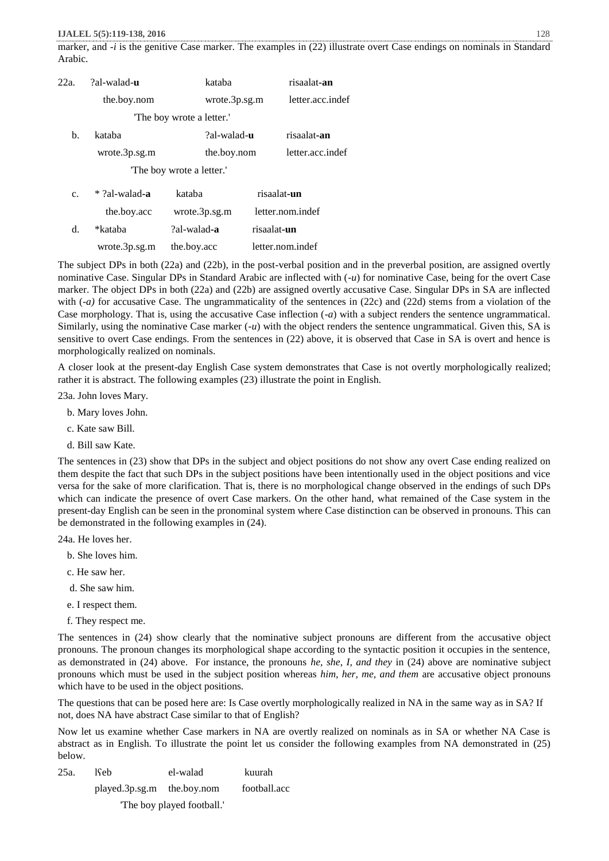marker, and -*i* is the genitive Case marker. The examples in (22) illustrate overt Case endings on nominals in Standard Arabic.

| 22a. | ?al-walad- <b>u</b> | kataba                    |             | risaalat-an      |
|------|---------------------|---------------------------|-------------|------------------|
|      | the.boy.nom         | wrote.3p.sg.m             |             | letter.acc.indef |
|      |                     | 'The boy wrote a letter.' |             |                  |
| b.   | kataba              | ?al-walad-u               |             | risaalat-an      |
|      | wrote.3p.sg.m       | the.boy.nom               |             | letter.acc.indef |
|      |                     | "The boy wrote a letter." |             |                  |
| c.   | $*$ ?al-walad-a     | kataba                    |             | risaalat-un      |
|      | the.boy.acc         | wrote.3p.sg.m             |             | letter.nom.indef |
| d.   | *kataba             | ?al-walad-a               | risaalat-un |                  |
|      | wrote.3p.sg.m       | the.boy.acc               |             | letter.nom.indef |

The subject DPs in both (22a) and (22b), in the post-verbal position and in the preverbal position, are assigned overtly nominative Case. Singular DPs in Standard Arabic are inflected with (*-u*) for nominative Case, being for the overt Case marker. The object DPs in both (22a) and (22b) are assigned overtly accusative Case. Singular DPs in SA are inflected with (-*a*) for accusative Case. The ungrammaticality of the sentences in (22c) and (22d) stems from a violation of the Case morphology. That is, using the accusative Case inflection (*-a*) with a subject renders the sentence ungrammatical. Similarly, using the nominative Case marker (*-u*) with the object renders the sentence ungrammatical. Given this, SA is sensitive to overt Case endings. From the sentences in (22) above, it is observed that Case in SA is overt and hence is morphologically realized on nominals.

A closer look at the present-day English Case system demonstrates that Case is not overtly morphologically realized; rather it is abstract. The following examples (23) illustrate the point in English.

23a. John loves Mary.

- b. Mary loves John.
- c. Kate saw Bill.
- d. Bill saw Kate.

The sentences in (23) show that DPs in the subject and object positions do not show any overt Case ending realized on them despite the fact that such DPs in the subject positions have been intentionally used in the object positions and vice versa for the sake of more clarification. That is, there is no morphological change observed in the endings of such DPs which can indicate the presence of overt Case markers. On the other hand, what remained of the Case system in the present-day English can be seen in the pronominal system where Case distinction can be observed in pronouns. This can be demonstrated in the following examples in (24).

24a. He loves her.

- b. She loves him.
- c. He saw her.
- d. She saw him.
- e. I respect them.
- f. They respect me.

The sentences in (24) show clearly that the nominative subject pronouns are different from the accusative object pronouns. The pronoun changes its morphological shape according to the syntactic position it occupies in the sentence, as demonstrated in (24) above. For instance, the pronouns *he, she, I, and they* in (24) above are nominative subject pronouns which must be used in the subject position whereas *him, her, me, and them* are accusative object pronouns which have to be used in the object positions.

The questions that can be posed here are: Is Case overtly morphologically realized in NA in the same way as in SA? If not, does NA have abstract Case similar to that of English?

Now let us examine whether Case markers in NA are overtly realized on nominals as in SA or whether NA Case is abstract as in English. To illustrate the point let us consider the following examples from NA demonstrated in (25) below.

| 25a. | 19eb                         | el-walad | kuurah       |
|------|------------------------------|----------|--------------|
|      | $played.3p.sg.m$ the.boy.nom |          | football.acc |
|      |                              |          |              |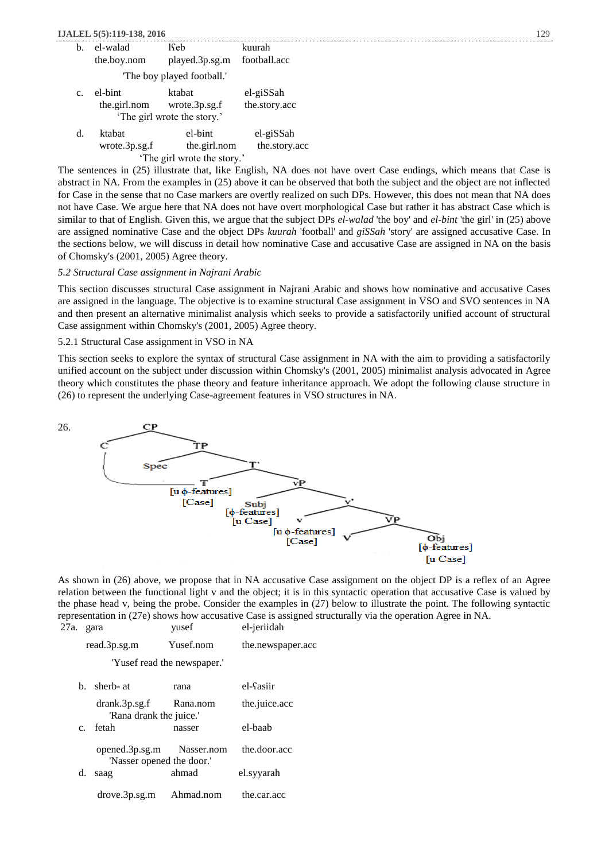| h.                          | el-walad                   | 19eb                        | kuurah        |  |  |
|-----------------------------|----------------------------|-----------------------------|---------------|--|--|
|                             | the.boy.nom                | played.3p.sg.m              | football.acc  |  |  |
|                             |                            | The boy played football.'   |               |  |  |
| $c_{\cdot}$                 | el-bint                    | ktabat                      | el-giSSah     |  |  |
|                             | the.girl.nom wrote.3p.sg.f | 'The girl wrote the story.' | the.story.acc |  |  |
| d.                          | ktabat                     | el-bint                     | el-giSSah     |  |  |
|                             | wrote.3p.sg.f              | the.girl.nom                | the.story.acc |  |  |
| 'The girl wrote the story.' |                            |                             |               |  |  |
|                             |                            |                             |               |  |  |

The sentences in (25) illustrate that, like English, NA does not have overt Case endings, which means that Case is abstract in NA. From the examples in (25) above it can be observed that both the subject and the object are not inflected for Case in the sense that no Case markers are overtly realized on such DPs. However, this does not mean that NA does not have Case. We argue here that NA does not have overt morphological Case but rather it has abstract Case which is similar to that of English. Given this, we argue that the subject DPs *el-walad* 'the boy' and *el-bint* 'the girl' in (25) above are assigned nominative Case and the object DPs *kuurah* 'football' and *giSSah* 'story' are assigned accusative Case. In the sections below, we will discuss in detail how nominative Case and accusative Case are assigned in NA on the basis of Chomsky's (2001, 2005) Agree theory.

# *5.2 Structural Case assignment in Najrani Arabic*

This section discusses structural Case assignment in Najrani Arabic and shows how nominative and accusative Cases are assigned in the language. The objective is to examine structural Case assignment in VSO and SVO sentences in NA and then present an alternative minimalist analysis which seeks to provide a satisfactorily unified account of structural Case assignment within Chomsky's (2001, 2005) Agree theory.

# 5.2.1 Structural Case assignment in VSO in NA

This section seeks to explore the syntax of structural Case assignment in NA with the aim to providing a satisfactorily unified account on the subject under discussion within Chomsky's (2001, 2005) minimalist analysis advocated in Agree theory which constitutes the phase theory and feature inheritance approach. We adopt the following clause structure in (26) to represent the underlying Case-agreement features in VSO structures in NA.



As shown in (26) above, we propose that in NA accusative Case assignment on the object DP is a reflex of an Agree relation between the functional light v and the object; it is in this syntactic operation that accusative Case is valued by the phase head v, being the probe. Consider the examples in (27) below to illustrate the point. The following syntactic representation in (27e) shows how accusative Case is assigned structurally via the operation Agree in NA.<br>27a. gara vusef el-jeriidah

| 27a. |    | gara                                                   | yusef                       | el-jeriidah       |
|------|----|--------------------------------------------------------|-----------------------------|-------------------|
|      |    | read.3p.sg.m                                           | Yusef.nom                   | the.newspaper.acc |
|      |    |                                                        | 'Yusef read the newspaper.' |                   |
|      | h. | sherb- at                                              | rana                        | el-Sasiir         |
|      |    | drank.3p.sg.f<br>'Rana drank the juice.'               | Rana.nom                    | the.juice.acc     |
|      |    | c. fetah                                               | nasser                      | el-baab           |
|      |    | opened.3p.sg.m Nasser.nom<br>'Nasser opened the door.' |                             | the.door.acc      |
|      | d. | saag                                                   | ahmad                       | el.syyarah        |
|      |    | drove.3p.sg.m                                          | Ahmad.nom                   | the.car.acc       |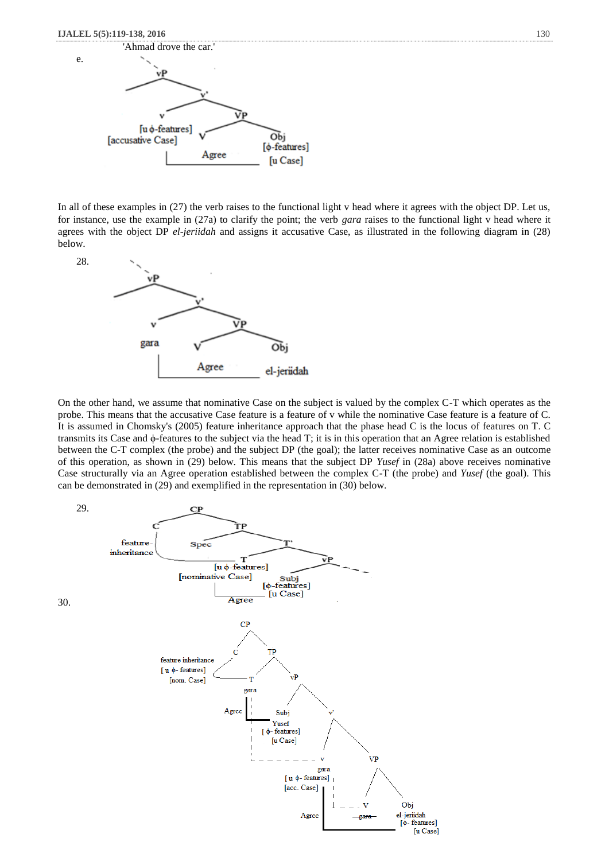

In all of these examples in  $(27)$  the verb raises to the functional light v head where it agrees with the object DP. Let us, for instance, use the example in (27a) to clarify the point; the verb *gara* raises to the functional light v head where it agrees with the object DP *el-jeriidah* and assigns it accusative Case, as illustrated in the following diagram in (28) below.



On the other hand, we assume that nominative Case on the subject is valued by the complex C-T which operates as the probe. This means that the accusative Case feature is a feature of v while the nominative Case feature is a feature of C. It is assumed in Chomsky's (2005) feature inheritance approach that the phase head C is the locus of features on T. C transmits its Case and ϕ-features to the subject via the head T; it is in this operation that an Agree relation is established between the C-T complex (the probe) and the subject DP (the goal); the latter receives nominative Case as an outcome of this operation, as shown in (29) below. This means that the subject DP *Yusef* in (28a) above receives nominative Case structurally via an Agree operation established between the complex C-T (the probe) and *Yusef* (the goal). This can be demonstrated in (29) and exemplified in the representation in (30) below.

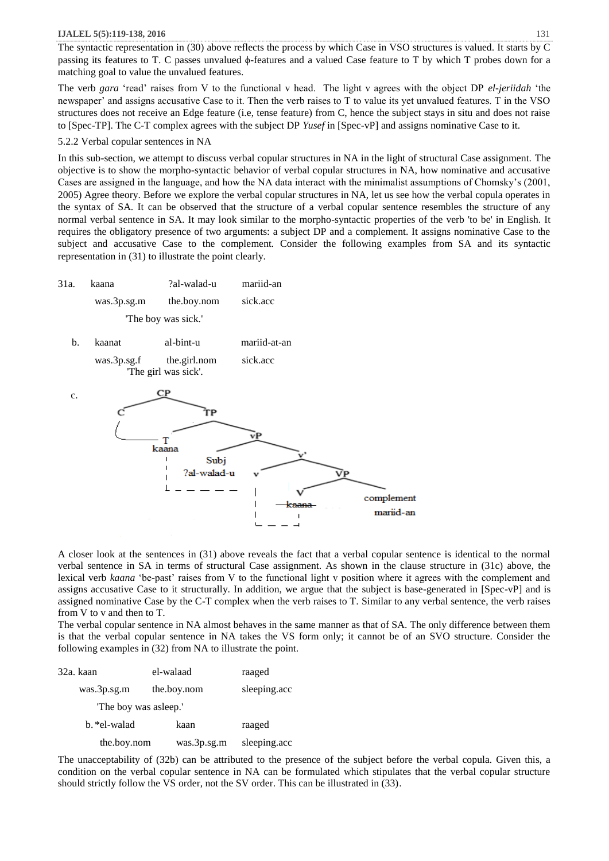The syntactic representation in (30) above reflects the process by which Case in VSO structures is valued. It starts by C passing its features to T. C passes unvalued ϕ-features and a valued Case feature to T by which T probes down for a matching goal to value the unvalued features.

The verb *gara* 'read' raises from V to the functional v head. The light v agrees with the object DP *el-jeriidah* 'the newspaper' and assigns accusative Case to it. Then the verb raises to T to value its yet unvalued features. T in the VSO structures does not receive an Edge feature (i.e, tense feature) from C, hence the subject stays in situ and does not raise to [Spec-TP]. The C-T complex agrees with the subject DP *Yusef* in [Spec-vP] and assigns nominative Case to it.

#### 5.2.2 Verbal copular sentences in NA

In this sub-section, we attempt to discuss verbal copular structures in NA in the light of structural Case assignment. The objective is to show the morpho-syntactic behavior of verbal copular structures in NA, how nominative and accusative Cases are assigned in the language, and how the NA data interact with the minimalist assumptions of Chomsky's (2001, 2005) Agree theory. Before we explore the verbal copular structures in NA, let us see how the verbal copula operates in the syntax of SA. It can be observed that the structure of a verbal copular sentence resembles the structure of any normal verbal sentence in SA. It may look similar to the morpho-syntactic properties of the verb 'to be' in English. It requires the obligatory presence of two arguments: a subject DP and a complement. It assigns nominative Case to the subject and accusative Case to the complement. Consider the following examples from SA and its syntactic representation in (31) to illustrate the point clearly.

- 31a. kaana ?al-walad-u mariid-an was.3p.sg.m the.boy.nom sick.acc 'The boy was sick.'
	- b. kaanat al-bint-u mariid-at-an was.3p.sg.f the.girl.nom sick.acc



A closer look at the sentences in (31) above reveals the fact that a verbal copular sentence is identical to the normal verbal sentence in SA in terms of structural Case assignment. As shown in the clause structure in (31c) above, the lexical verb *kaana* 'be-past' raises from V to the functional light v position where it agrees with the complement and assigns accusative Case to it structurally. In addition, we argue that the subject is base-generated in [Spec-vP] and is assigned nominative Case by the C-T complex when the verb raises to T*.* Similar to any verbal sentence, the verb raises from V to v and then to T.

The verbal copular sentence in NA almost behaves in the same manner as that of SA. The only difference between them is that the verbal copular sentence in NA takes the VS form only; it cannot be of an SVO structure. Consider the following examples in (32) from NA to illustrate the point.

| 32a. kaan             | el-walaad   | raaged       |
|-----------------------|-------------|--------------|
| was.3p.sg.m           | the.boy.nom | sleeping.acc |
| "The boy was asleep." |             |              |
| b. *el-walad          | kaan        | raaged       |
| the.boy.nom           | was.3p.sg.m | sleeping.acc |

The unacceptability of (32b) can be attributed to the presence of the subject before the verbal copula. Given this, a condition on the verbal copular sentence in NA can be formulated which stipulates that the verbal copular structure should strictly follow the VS order, not the SV order. This can be illustrated in (33).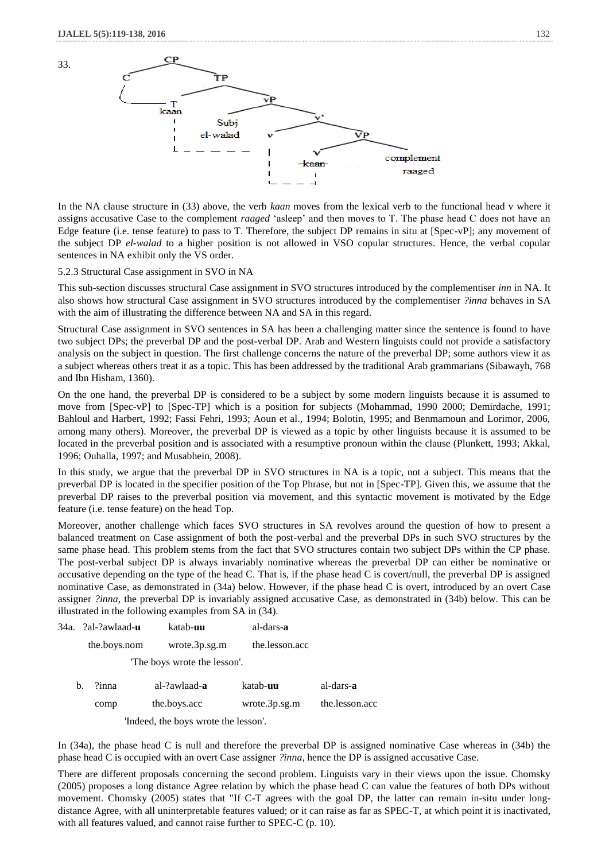33.



In the NA clause structure in (33) above, the verb *kaan* moves from the lexical verb to the functional head v where it assigns accusative Case to the complement *raaged* 'asleep' and then moves to T. The phase head C does not have an Edge feature (i.e. tense feature) to pass to T. Therefore, the subject DP remains in situ at [Spec-vP]; any movement of the subject DP *el-walad* to a higher position is not allowed in VSO copular structures. Hence, the verbal copular sentences in NA exhibit only the VS order.

## 5.2.3 Structural Case assignment in SVO in NA

This sub-section discusses structural Case assignment in SVO structures introduced by the complementiser *inn* in NA. It also shows how structural Case assignment in SVO structures introduced by the complementiser *?inna* behaves in SA with the aim of illustrating the difference between NA and SA in this regard.

Structural Case assignment in SVO sentences in SA has been a challenging matter since the sentence is found to have two subject DPs; the preverbal DP and the post-verbal DP. Arab and Western linguists could not provide a satisfactory analysis on the subject in question. The first challenge concerns the nature of the preverbal DP; some authors view it as a subject whereas others treat it as a topic. This has been addressed by the traditional Arab grammarians (Sibawayh, 768 and Ibn Hisham, 1360).

On the one hand, the preverbal DP is considered to be a subject by some modern linguists because it is assumed to move from [Spec-vP] to [Spec-TP] which is a position for subjects (Mohammad, 1990 2000; Demirdache, 1991; Bahloul and Harbert, 1992; Fassi Fehri, 1993; Aoun et al., 1994; Bolotin, 1995; and Benmamoun and Lorimor, 2006, among many others). Moreover, the preverbal DP is viewed as a topic by other linguists because it is assumed to be located in the preverbal position and is associated with a resumptive pronoun within the clause (Plunkett, 1993; Akkal, 1996; Ouhalla, 1997; and Musabhein, 2008).

In this study, we argue that the preverbal DP in SVO structures in NA is a topic, not a subject. This means that the preverbal DP is located in the specifier position of the Top Phrase, but not in [Spec-TP]. Given this, we assume that the preverbal DP raises to the preverbal position via movement, and this syntactic movement is motivated by the Edge feature (i.e. tense feature) on the head Top.

Moreover, another challenge which faces SVO structures in SA revolves around the question of how to present a balanced treatment on Case assignment of both the post-verbal and the preverbal DPs in such SVO structures by the same phase head. This problem stems from the fact that SVO structures contain two subject DPs within the CP phase. The post-verbal subject DP is always invariably nominative whereas the preverbal DP can either be nominative or accusative depending on the type of the head C. That is, if the phase head C is covert/null, the preverbal DP is assigned nominative Case, as demonstrated in (34a) below. However, if the phase head C is overt, introduced by an overt Case assigner *?inna*, the preverbal DP is invariably assigned accusative Case, as demonstrated in (34b) below. This can be illustrated in the following examples from SA in (34).

|    | 34a. ?al-?awlaad- <b>u</b> | katab- <b>uu</b>                     | al-dars-a        |                   |
|----|----------------------------|--------------------------------------|------------------|-------------------|
|    | the.boys.nom               | wrote.3p.sg.m                        | the.lesson.acc   |                   |
|    |                            | The boys wrote the lesson'.          |                  |                   |
| b. | ?inna                      | al-?awlaad- <b>a</b>                 | katab- <b>uu</b> | al-dars- <b>a</b> |
|    | comp                       | the.boys.acc                         | wrote.3p.sg.m    | the.lesson.acc    |
|    |                            | 'Indeed, the boys wrote the lesson'. |                  |                   |

In (34a), the phase head C is null and therefore the preverbal DP is assigned nominative Case whereas in (34b) the phase head C is occupied with an overt Case assigner *?inna,* hence the DP is assigned accusative Case.

There are different proposals concerning the second problem. Linguists vary in their views upon the issue. Chomsky (2005) proposes a long distance Agree relation by which the phase head C can value the features of both DPs without movement. Chomsky (2005) states that "If C-T agrees with the goal DP, the latter can remain in-situ under longdistance Agree, with all uninterpretable features valued; or it can raise as far as SPEC-T, at which point it is inactivated, with all features valued, and cannot raise further to SPEC-C (p. 10).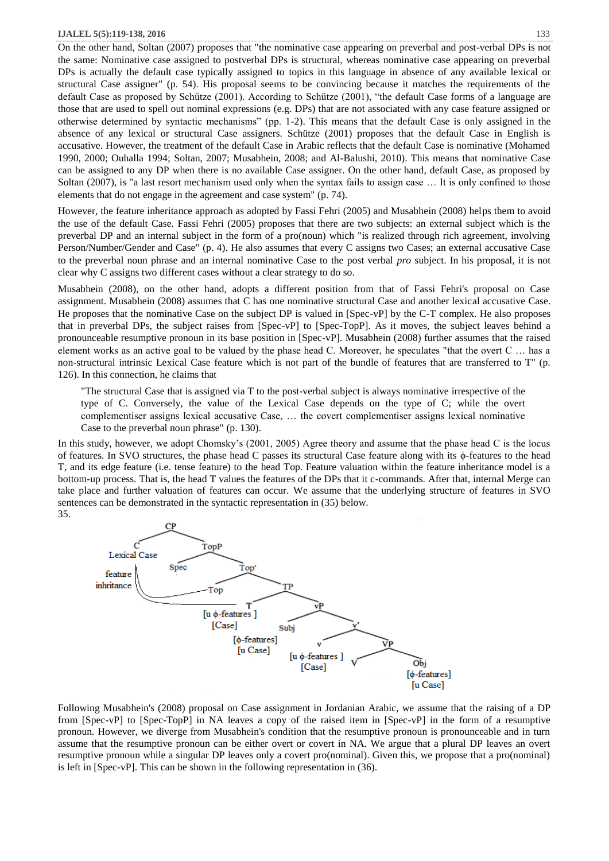On the other hand, Soltan (2007) proposes that "the nominative case appearing on preverbal and post-verbal DPs is not the same: Nominative case assigned to postverbal DPs is structural, whereas nominative case appearing on preverbal DPs is actually the default case typically assigned to topics in this language in absence of any available lexical or structural Case assigner" (p. 54). His proposal seems to be convincing because it matches the requirements of the default Case as proposed by Schütze (2001). According to Schütze (2001), "the default Case forms of a language are those that are used to spell out nominal expressions (e.g. DPs) that are not associated with any case feature assigned or otherwise determined by syntactic mechanisms" (pp. 1-2). This means that the default Case is only assigned in the absence of any lexical or structural Case assigners. Schütze (2001) proposes that the default Case in English is accusative. However, the treatment of the default Case in Arabic reflects that the default Case is nominative (Mohamed 1990, 2000; Ouhalla 1994; Soltan, 2007; Musabhein, 2008; and Al-Balushi, 2010). This means that nominative Case can be assigned to any DP when there is no available Case assigner. On the other hand, default Case, as proposed by Soltan (2007), is "a last resort mechanism used only when the syntax fails to assign case … It is only confined to those elements that do not engage in the agreement and case system" (p. 74).

However, the feature inheritance approach as adopted by Fassi Fehri (2005) and Musabhein (2008) helps them to avoid the use of the default Case. Fassi Fehri (2005) proposes that there are two subjects: an external subject which is the preverbal DP and an internal subject in the form of a pro(noun) which "is realized through rich agreement, involving Person/Number/Gender and Case" (p. 4). He also assumes that every C assigns two Cases; an external accusative Case to the preverbal noun phrase and an internal nominative Case to the post verbal *pro* subject. In his proposal, it is not clear why C assigns two different cases without a clear strategy to do so.

Musabhein (2008), on the other hand, adopts a different position from that of Fassi Fehri's proposal on Case assignment. Musabhein (2008) assumes that C has one nominative structural Case and another lexical accusative Case. He proposes that the nominative Case on the subject DP is valued in [Spec-vP] by the C-T complex. He also proposes that in preverbal DPs, the subject raises from [Spec-vP] to [Spec-TopP]. As it moves, the subject leaves behind a pronounceable resumptive pronoun in its base position in [Spec-vP]. Musabhein (2008) further assumes that the raised element works as an active goal to be valued by the phase head C. Moreover, he speculates "that the overt C … has a non-structural intrinsic Lexical Case feature which is not part of the bundle of features that are transferred to T" (p. 126). In this connection, he claims that

"The structural Case that is assigned via T to the post-verbal subject is always nominative irrespective of the type of C. Conversely, the value of the Lexical Case depends on the type of C; while the overt complementiser assigns lexical accusative Case, … the covert complementiser assigns lexical nominative Case to the preverbal noun phrase" (p. 130).

In this study, however, we adopt Chomsky's (2001, 2005) Agree theory and assume that the phase head C is the locus of features. In SVO structures, the phase head C passes its structural Case feature along with its ϕ-features to the head T, and its edge feature (i.e. tense feature) to the head Top. Feature valuation within the feature inheritance model is a bottom-up process. That is, the head T values the features of the DPs that it c-commands. After that, internal Merge can take place and further valuation of features can occur. We assume that the underlying structure of features in SVO sentences can be demonstrated in the syntactic representation in (35) below. 35.



Following Musabhein's (2008) proposal on Case assignment in Jordanian Arabic, we assume that the raising of a DP from [Spec-vP] to [Spec-TopP] in NA leaves a copy of the raised item in [Spec-vP] in the form of a resumptive pronoun. However, we diverge from Musabhein's condition that the resumptive pronoun is pronounceable and in turn assume that the resumptive pronoun can be either overt or covert in NA. We argue that a plural DP leaves an overt resumptive pronoun while a singular DP leaves only a covert pro(nominal). Given this, we propose that a pro(nominal) is left in [Spec-vP]. This can be shown in the following representation in (36).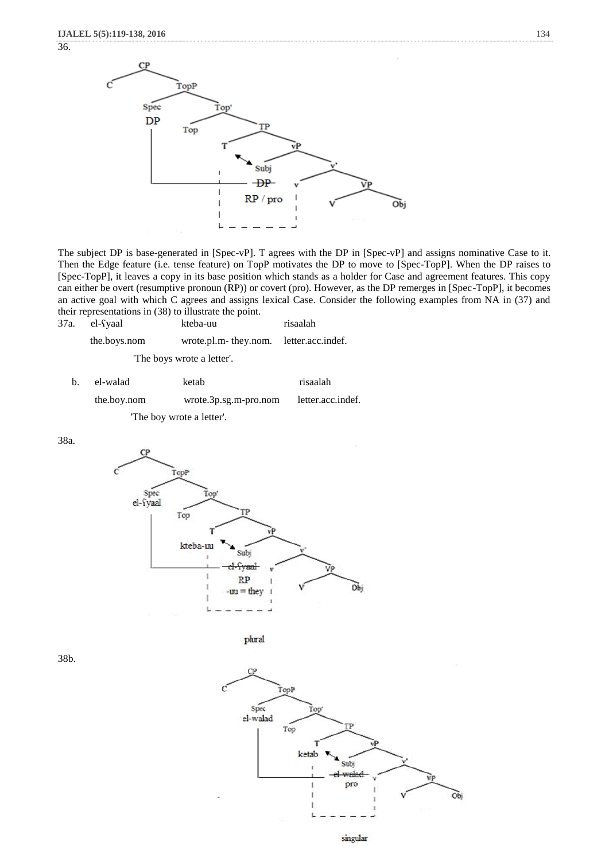36.



The subject DP is base-generated in [Spec-vP]. T agrees with the DP in [Spec-vP] and assigns nominative Case to it. Then the Edge feature (i.e. tense feature) on TopP motivates the DP to move to [Spec-TopP]. When the DP raises to [Spec-TopP], it leaves a copy in its base position which stands as a holder for Case and agreement features. This copy can either be overt (resumptive pronoun (RP)) or covert (pro). However, as the DP remerges in [Spec-TopP], it becomes an active goal with which C agrees and assigns lexical Case. Consider the following examples from NA in (37) and their representations in (38) to illustrate the point.

| 37a. el-Syaal | kteba-uu                               | risaalah |
|---------------|----------------------------------------|----------|
| the.boys.nom  | wrote.pl.m-they.nom. letter.acc.indef. |          |
|               | The boys wrote a letter'.              |          |
|               |                                        |          |

| $\mathbf{b}$ . | el-walad                 | ketab                   | risaalah          |
|----------------|--------------------------|-------------------------|-------------------|
|                | the.boy.nom              | $wrote.3p.sg.m-pro.nom$ | letter.acc.indef. |
|                | The boy wrote a letter'. |                         |                   |

38a.





38b.



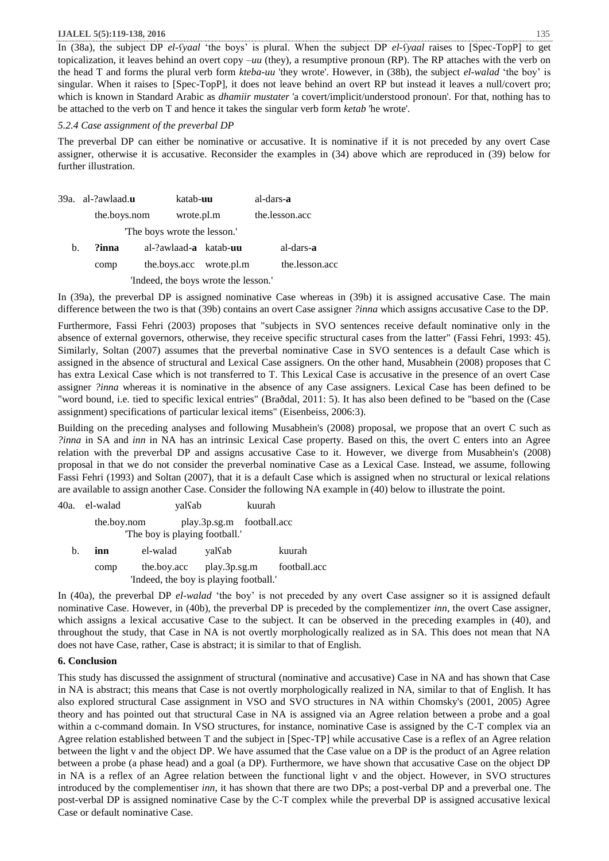In (38a), the subject DP *el-ʕyaal* 'the boys' is plural. When the subject DP *el-ʕyaal* raises to [Spec-TopP] to get topicalization, it leaves behind an overt copy *–uu* (they), a resumptive pronoun (RP). The RP attaches with the verb on the head T and forms the plural verb form *kteba-uu* 'they wrote'. However, in (38b), the subject *el-walad* 'the boy' is singular. When it raises to [Spec-TopP], it does not leave behind an overt RP but instead it leaves a null/covert pro; which is known in Standard Arabic as *dhamiir mustater* 'a covert/implicit/understood pronoun'. For that, nothing has to be attached to the verb on T and hence it takes the singular verb form *ketab* 'he wrote'.

## *5.2.4 Case assignment of the preverbal DP*

The preverbal DP can either be nominative or accusative. It is nominative if it is not preceded by any overt Case assigner, otherwise it is accusative. Reconsider the examples in (34) above which are reproduced in (39) below for further illustration.

|                                      | 39a. al-?awlaad. <b>u</b> | katab- <b>uu</b>                      |  | al-dars-a      |
|--------------------------------------|---------------------------|---------------------------------------|--|----------------|
|                                      | the.boys.nom              | wrote.pl.m                            |  | the.lesson.acc |
| The boys wrote the lesson."          |                           |                                       |  |                |
| b.                                   | ?inna                     | al-?awlaad- <b>a</b> katab- <b>uu</b> |  | al-dars-a      |
|                                      | comp                      | the.boys.acc wrote.pl.m               |  | the.lesson.acc |
| 'Indeed, the boys wrote the lesson.' |                           |                                       |  |                |

In (39a), the preverbal DP is assigned nominative Case whereas in (39b) it is assigned accusative Case. The main difference between the two is that (39b) contains an overt Case assigner *?inna* which assigns accusative Case to the DP.

Furthermore, Fassi Fehri (2003) proposes that "subjects in SVO sentences receive default nominative only in the absence of external governors, otherwise, they receive specific structural cases from the latter" (Fassi Fehri, 1993: 45). Similarly, Soltan (2007) assumes that the preverbal nominative Case in SVO sentences is a default Case which is assigned in the absence of structural and Lexical Case assigners. On the other hand, Musabhein (2008) proposes that C has extra Lexical Case which is not transferred to T. This Lexical Case is accusative in the presence of an overt Case assigner *?inna* whereas it is nominative in the absence of any Case assigners. Lexical Case has been defined to be "word bound, i.e. tied to specific lexical entries" (Braðdal, 2011: 5). It has also been defined to be "based on the (Case assignment) specifications of particular lexical items" (Eisenbeiss, 2006:3).

Building on the preceding analyses and following Musabhein's (2008) proposal, we propose that an overt C such as *?inna* in SA and *inn* in NA has an intrinsic Lexical Case property. Based on this, the overt C enters into an Agree relation with the preverbal DP and assigns accusative Case to it. However, we diverge from Musabhein's (2008) proposal in that we do not consider the preverbal nominative Case as a Lexical Case. Instead, we assume, following Fassi Fehri (1993) and Soltan (2007), that it is a default Case which is assigned when no structural or lexical relations are available to assign another Case. Consider the following NA example in (40) below to illustrate the point.

|                                        | 40a. el-walad | yalsab      |                           | kuurah |              |
|----------------------------------------|---------------|-------------|---------------------------|--------|--------------|
|                                        | the.boy.nom   |             | play.3p.sg.m football.acc |        |              |
| The boy is playing football.           |               |             |                           |        |              |
| b.                                     | inn           | el-walad    | yalsab                    |        | kuurah       |
|                                        | comp          | the boy acc | play.3p.sg.m              |        | football.acc |
| 'Indeed, the boy is playing football.' |               |             |                           |        |              |

In (40a), the preverbal DP *el-walad* 'the boy' is not preceded by any overt Case assigner so it is assigned default nominative Case. However, in (40b), the preverbal DP is preceded by the complementizer *inn*, the overt Case assigner, which assigns a lexical accusative Case to the subject. It can be observed in the preceding examples in (40), and throughout the study, that Case in NA is not overtly morphologically realized as in SA. This does not mean that NA does not have Case, rather, Case is abstract; it is similar to that of English.

# **6. Conclusion**

This study has discussed the assignment of structural (nominative and accusative) Case in NA and has shown that Case in NA is abstract; this means that Case is not overtly morphologically realized in NA, similar to that of English. It has also explored structural Case assignment in VSO and SVO structures in NA within Chomsky's (2001, 2005) Agree theory and has pointed out that structural Case in NA is assigned via an Agree relation between a probe and a goal within a c-command domain. In VSO structures, for instance, nominative Case is assigned by the C-T complex via an Agree relation established between T and the subject in [Spec-TP] while accusative Case is a reflex of an Agree relation between the light v and the object DP. We have assumed that the Case value on a DP is the product of an Agree relation between a probe (a phase head) and a goal (a DP). Furthermore, we have shown that accusative Case on the object DP in NA is a reflex of an Agree relation between the functional light v and the object. However, in SVO structures introduced by the complementiser *inn*, it has shown that there are two DPs; a post-verbal DP and a preverbal one. The post-verbal DP is assigned nominative Case by the C-T complex while the preverbal DP is assigned accusative lexical Case or default nominative Case.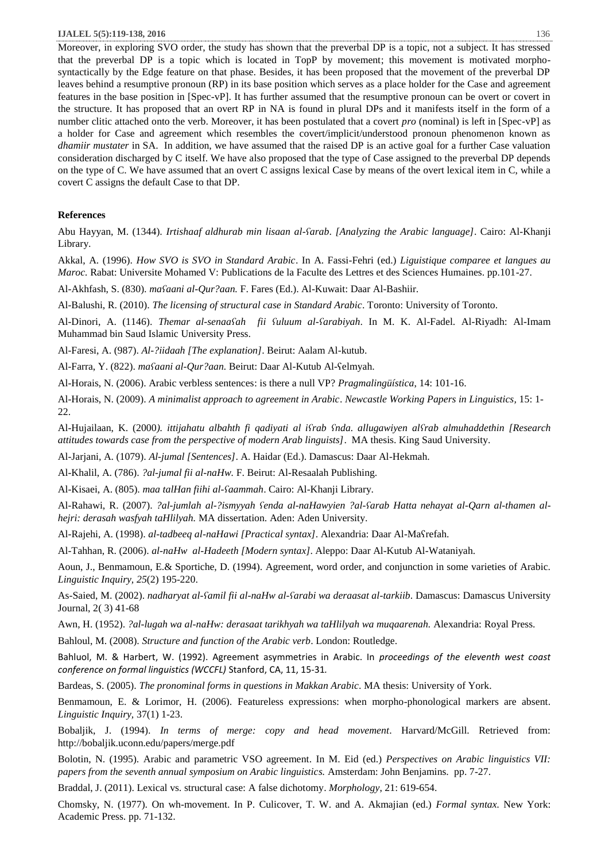Moreover, in exploring SVO order, the study has shown that the preverbal DP is a topic, not a subject. It has stressed that the preverbal DP is a topic which is located in TopP by movement; this movement is motivated morphosyntactically by the Edge feature on that phase. Besides, it has been proposed that the movement of the preverbal DP leaves behind a resumptive pronoun (RP) in its base position which serves as a place holder for the Case and agreement features in the base position in [Spec-vP]. It has further assumed that the resumptive pronoun can be overt or covert in the structure. It has proposed that an overt RP in NA is found in plural DPs and it manifests itself in the form of a number clitic attached onto the verb. Moreover, it has been postulated that a covert *pro* (nominal) is left in [Spec-vP] as a holder for Case and agreement which resembles the covert/implicit/understood pronoun phenomenon known as *dhamiir mustater* in SA. In addition, we have assumed that the raised DP is an active goal for a further Case valuation consideration discharged by C itself. We have also proposed that the type of Case assigned to the preverbal DP depends on the type of C. We have assumed that an overt C assigns lexical Case by means of the overt lexical item in C, while a covert C assigns the default Case to that DP.

# **References**

Abu Hayyan, M. (1344). *Irtishaaf aldhurab min lisaan al-ʕarab*. *[Analyzing the Arabic language]*. Cairo: Al-Khanji Library.

Akkal, A. (1996). *How SVO is SVO in Standard Arabic*. In A. Fassi-Fehri (ed.) *Liguistique comparee et langues au Maroc.* Rabat: Universite Mohamed V: Publications de la Faculte des Lettres et des Sciences Humaines. pp.101-27.

Al-Akhfash, S. (830). *maʕaani al-Qur?aan.* F. Fares (Ed.). Al-Kuwait: Daar Al-Bashiir.

Al-Balushi, R. (2010). *The licensing of structural case in Standard Arabic*. Toronto: University of Toronto.

Al-Dinori, A. (1146). *Themar al-senaaʕah fii ʕuluum al-ʕarabiyah*. In M. K. Al-Fadel. Al-Riyadh: Al-Imam Muhammad bin Saud Islamic University Press.

Al-Faresi, A. (987). *Al-?iidaah [The explanation]*. Beirut: Aalam Al-kutub.

Al-Farra, Y. (822). *maʕaani al-Qur?aan.* Beirut: Daar Al-Kutub Al-ʕelmyah.

Al-Horais, N. (2006). Arabic verbless sentences: is there a null VP? *Pragmalingüística*, 14: 101-16.

Al-Horais, N. (2009). *A minimalist approach to agreement in Arabic*. *Newcastle Working Papers in Linguistics,* 15: 1-  $22.$ 

Al-Hujailaan, K. (2000*). ittijahatu albahth fi qadiyati al iʕrab ʕnda. allugawiyen alʕrab almuhaddethin [Research attitudes towards case from the perspective of modern Arab linguists]*. MA thesis. King Saud University.

Al-Jarjani, A. (1079). *Al-jumal [Sentences]*. A. Haidar (Ed.). Damascus: Daar Al-Hekmah.

Al-Khalil, A. (786). *?al-jumal fii al-naHw.* F. Beirut: Al-Resaalah Publishing.

Al-Kisaei, A. (805). *maa talHan fiihi al-ʕaammah*. Cairo: Al-Khanji Library.

Al-Rahawi, R. (2007). *?al-jumlah al-?ismyyah ʕenda al-naHawyien ?al-ʕarab Hatta nehayat al-Qarn al-thamen alhejri: derasah wasfyah taHlilyah.* MA dissertation. Aden: Aden University.

Al-Rajehi, A. (1998). *al-tadbeeq al-naHawi [Practical syntax]*. Alexandria: Daar Al-Maʕrefah.

Al-Tahhan, R. (2006). *al-naHw al-Hadeeth [Modern syntax]*. Aleppo: Daar Al-Kutub Al-Wataniyah.

Aoun, J., Benmamoun, E.& Sportiche, D. (1994). Agreement, word order, and conjunction in some varieties of Arabic. *Linguistic Inquiry, 25*(2) 195-220.

As-Saied, M. (2002). *nadharyat al-ʕamil fii al-naHw al-ʕarabi wa deraasat al-tarkiib*. Damascus: Damascus University Journal, 2( 3) 41-68

Awn, H. (1952). *?al-lugah wa al-naHw: derasaat tarikhyah wa taHlilyah wa muqaarenah.* Alexandria: Royal Press.

Bahloul, M. (2008). *Structure and function of the Arabic verb*. London: Routledge.

Bahluol, M. & Harbert, W. (1992). Agreement asymmetries in Arabic. In *proceedings of the eleventh west coast conference on formal linguistics (WCCFL)* Stanford, CA, 11, 15-31*.* 

Bardeas, S. (2005). *The pronominal forms in questions in Makkan Arabic*. MA thesis: University of York.

Benmamoun, E. & Lorimor, H. (2006). Featureless expressions: when morpho-phonological markers are absent. *Linguistic Inquiry,* 37(1) 1-23.

Bobaljik, J. (1994). *In terms of merge: copy and head movement*. Harvard/McGill. Retrieved from: <http://bobaljik.uconn.edu/papers/merge.pdf>

Bolotin, N. (1995). Arabic and parametric VSO agreement. In M. Eid (ed.) *Perspectives on Arabic linguistics VII: papers from the seventh annual symposium on Arabic linguistics.* Amsterdam: John Benjamins. pp. 7-27.

Braddal, J. (2011). Lexical vs. structural case: A false dichotomy. *Morphology*, 21: 619-654.

Chomsky, N. (1977). On wh-movement. In P. Culicover, T. W. and A. Akmajian (ed.) *Formal syntax.* New York: Academic Press. pp. 71-132.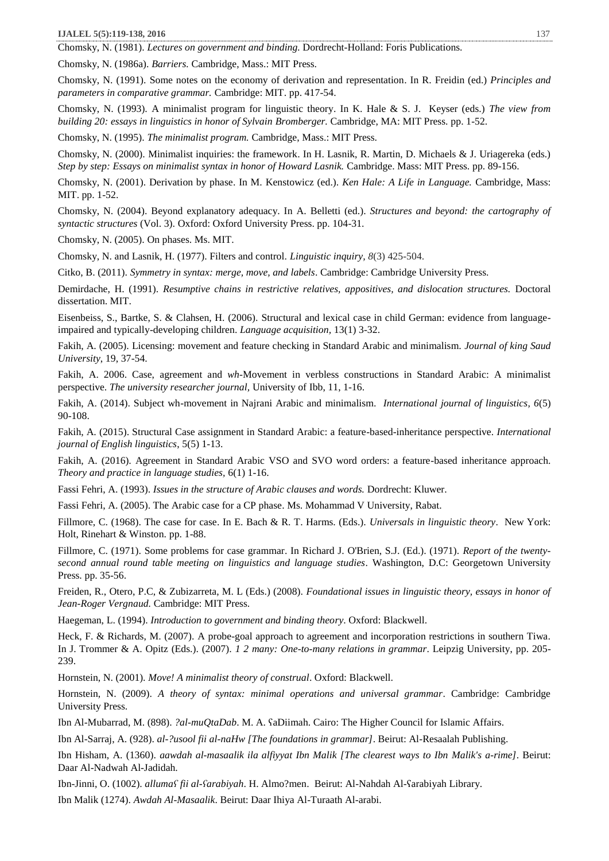Chomsky, N. (1981). *Lectures on government and binding.* Dordrecht-Holland: Foris Publications.

Chomsky, N. (1986a). *Barriers.* Cambridge, Mass.: MIT Press.

Chomsky, N. (1991). Some notes on the economy of derivation and representation. In R. Freidin (ed.) *Principles and parameters in comparative grammar.* Cambridge: MIT. pp. 417-54.

Chomsky, N. (1993). A minimalist program for linguistic theory. In K. Hale & S. J. Keyser (eds.) *The view from building 20: essays in linguistics in honor of Sylvain Bromberger.* Cambridge, MA: MIT Press. pp. 1-52.

Chomsky, N. (1995). *The minimalist program.* Cambridge, Mass.: MIT Press.

Chomsky, N. (2000). Minimalist inquiries: the framework. In H. Lasnik, R. Martin, D. Michaels & J. Uriagereka (eds.) *Step by step: Essays on minimalist syntax in honor of Howard Lasnik.* Cambridge. Mass: MIT Press. pp. 89-156.

Chomsky, N. (2001). Derivation by phase. In M. Kenstowicz (ed.). *Ken Hale: A Life in Language.* Cambridge, Mass: MIT. pp. 1-52.

Chomsky, N. (2004). Beyond explanatory adequacy. In A. Belletti (ed.). *Structures and beyond: the cartography of syntactic structures* (Vol. 3). Oxford: Oxford University Press. pp. 104-31.

Chomsky, N. (2005). On phases. Ms. MIT.

Chomsky, N. and Lasnik, H. (1977). Filters and control. *Linguistic inquiry, 8*(3) 425-504.

Citko, B. (2011). *Symmetry in syntax: merge, move, and labels*. Cambridge: Cambridge University Press.

Demirdache, H. (1991). *Resumptive chains in restrictive relatives, appositives, and dislocation structures.* Doctoral dissertation. MIT.

Eisenbeiss, S., Bartke, S. & Clahsen, H. (2006). Structural and lexical case in child German: evidence from languageimpaired and typically-developing children. *Language acquisition,* 13(1) 3-32.

Fakih, A. (2005). Licensing: movement and feature checking in Standard Arabic and minimalism*. Journal of king Saud University*, 19, 37-54.

Fakih, A. 2006. Case, agreement and *wh*-Movement in verbless constructions in Standard Arabic: A minimalist perspective. *The university researcher journal,* University of Ibb, 11, 1-16.

Fakih, A. (2014). Subject wh-movement in Najrani Arabic and minimalism. *International journal of linguistics, 6*(5) 90-108.

Fakih, A. (2015). Structural Case assignment in Standard Arabic: a feature-based-inheritance perspective. *International journal of English linguistics*, 5(5) 1-13.

Fakih, A. (2016). Agreement in Standard Arabic VSO and SVO word orders: a feature-based inheritance approach. *Theory and practice in language studies,* 6(1) 1-16.

Fassi Fehri, A. (1993). *Issues in the structure of Arabic clauses and words.* Dordrecht: Kluwer.

Fassi Fehri, A. (2005). The Arabic case for a CP phase. Ms. Mohammad V University, Rabat.

Fillmore, C. (1968). The case for case. In E. Bach & R. T. Harms. (Eds.). *Universals in linguistic theory*. New York: Holt, Rinehart & Winston. pp. 1-88.

Fillmore, C. (1971). Some problems for case grammar. In Richard J. O'Brien, S.J. (Ed.). (1971). *Report of the twentysecond annual round table meeting on linguistics and language studies*. Washington, D.C: Georgetown University Press. pp. 35-56.

Freiden, R., Otero, P.C, & Zubizarreta, M. L (Eds.) (2008). *Foundational issues in linguistic theory, essays in honor of Jean-Roger Vergnaud.* Cambridge: MIT Press.

Haegeman, L. (1994). *Introduction to government and binding theory*. Oxford: Blackwell.

Heck, F. & Richards, M. (2007). A probe-goal approach to agreement and incorporation restrictions in southern Tiwa*.* In J. Trommer & A. Opitz (Eds.). (2007). *1 2 many: One-to-many relations in grammar*. Leipzig University, pp. 205- 239.

Hornstein, N. (2001). *Move! A minimalist theory of construal*. Oxford: Blackwell.

Hornstein, N. (2009). *A theory of syntax: minimal operations and universal grammar*. Cambridge: Cambridge University Press.

Ibn Al-Mubarrad, M. (898). *?al-muQtaDab*. M. A. ʕaDiimah. Cairo: The Higher Council for Islamic Affairs.

Ibn Al-Sarraj, A. (928). *al-?usool fii al-naHw [The foundations in grammar]*. Beirut: Al-Resaalah Publishing.

Ibn Hisham, A. (1360). *aawdah al-masaalik ila alfiyyat Ibn Malik [The clearest ways to Ibn Malik's a-rime]*. Beirut: Daar Al-Nadwah Al-Jadidah.

Ibn-Jinni, O. (1002). *allumaʕ fii al-ʕarabiyah*. H. Almo?men. Beirut: Al-Nahdah Al-ʕarabiyah Library.

Ibn Malik (1274). *Awdah Al-Masaalik*. Beirut: Daar Ihiya Al-Turaath Al-arabi.